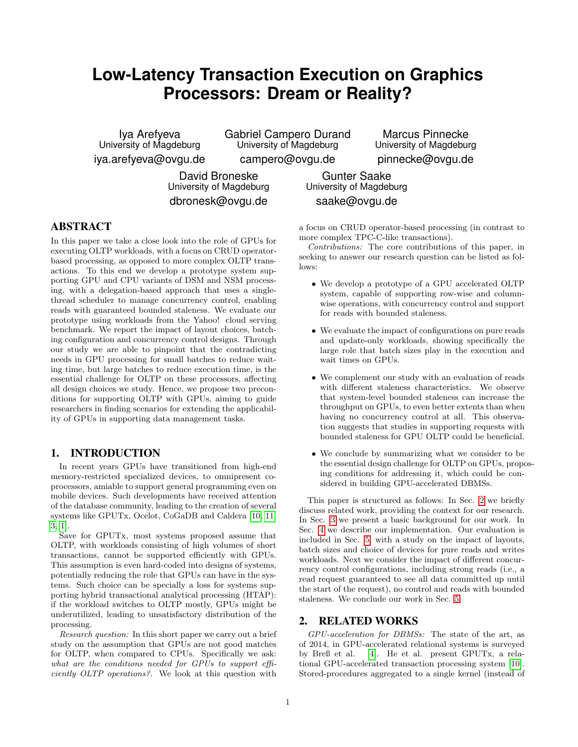# **Low-Latency Transaction Execution on Graphics Processors: Dream or Reality?**

Iya Arefyeva University of Magdeburg iya.arefyeva@ovgu.de Gabriel Campero Durand University of Magdeburg campero@ovgu.de

Marcus Pinnecke University of Magdeburg pinnecke@ovgu.de

David Broneske University of Magdeburg dbronesk@ovgu.de

Gunter Saake University of Magdeburg saake@ovgu.de

# ABSTRACT

In this paper we take a close look into the role of GPUs for executing OLTP workloads, with a focus on CRUD operatorbased processing, as opposed to more complex OLTP transactions. To this end we develop a prototype system supporting GPU and CPU variants of DSM and NSM processing, with a delegation-based approach that uses a singlethread scheduler to manage concurrency control, enabling reads with guaranteed bounded staleness. We evaluate our prototype using workloads from the Yahoo! cloud serving benchmark. We report the impact of layout choices, batching configuration and concurrency control designs. Through our study we are able to pinpoint that the contradicting needs in GPU processing for small batches to reduce waiting time, but large batches to reduce execution time, is the essential challenge for OLTP on these processors, affecting all design choices we study. Hence, we propose two preconditions for supporting OLTP with GPUs, aiming to guide researchers in finding scenarios for extending the applicability of GPUs in supporting data management tasks.

# 1. INTRODUCTION

In recent years GPUs have transitioned from high-end memory-restricted specialized devices, to omnipresent coprocessors, amiable to support general programming even on mobile devices. Such developments have received attention of the database community, leading to the creation of several systems like GPUTx, Ocelot, CoGaDB and Caldera [\[10,](#page-5-0) [11,](#page-5-1) [3,](#page-5-2) [1\]](#page-5-3).

Save for GPUTx, most systems proposed assume that OLTP, with workloads consisting of high volumes of short transactions, cannot be supported efficiently with GPUs. This assumption is even hard-coded into designs of systems, potentially reducing the role that GPUs can have in the systems. Such choice can be specially a loss for systems supporting hybrid transactional analytical processing (HTAP): if the workload switches to OLTP mostly, GPUs might be underutilized, leading to unsatisfactory distribution of the processing.

Research question: In this short paper we carry out a brief study on the assumption that GPUs are not good matches for OLTP, when compared to CPUs. Specifically we ask: what are the conditions needed for GPUs to support efficiently OLTP operations?. We look at this question with

a focus on CRUD operator-based processing (in contrast to more complex TPC-C-like transactions).

Contributions: The core contributions of this paper, in seeking to answer our research question can be listed as follows:

- We develop a prototype of a GPU accelerated OLTP system, capable of supporting row-wise and columnwise operations, with concurrency control and support for reads with bounded staleness.
- We evaluate the impact of configurations on pure reads and update-only workloads, showing specifically the large role that batch sizes play in the execution and wait times on GPUs.
- We complement our study with an evaluation of reads with different staleness characteristics. We observe that system-level bounded staleness can increase the throughput on GPUs, to even better extents than when having no concurrency control at all. This observation suggests that studies in supporting requests with bounded staleness for GPU OLTP could be beneficial.
- We conclude by summarizing what we consider to be the essential design challenge for OLTP on GPUs, proposing conditions for addressing it, which could be considered in building GPU-accelerated DBMSs.

This paper is structured as follows: In Sec. [2](#page-0-0) we briefly discuss related work, providing the context for our research. In Sec. [3](#page-1-0) we present a basic background for our work. In Sec. [4](#page-2-0) we describe our implementation. Our evaluation is included in Sec. [5,](#page-2-1) with a study on the impact of layouts, batch sizes and choice of devices for pure reads and writes workloads. Next we consider the impact of different concurrency control configurations, including strong reads (i.e., a read request guaranteed to see all data committed up until the start of the request), no control and reads with bounded staleness. We conclude our work in Sec. [5.](#page-2-1)

### <span id="page-0-0"></span>2. RELATED WORKS

GPU-acceleration for DBMSs: The state of the art, as of 2014, in GPU-accelerated relational systems is surveyed by Breß et al. [\[4\]](#page-5-4). He et al. present GPUTx, a relational GPU-accelerated transaction processing system [\[10\]](#page-5-0). Stored-procedures aggregated to a single kernel (instead of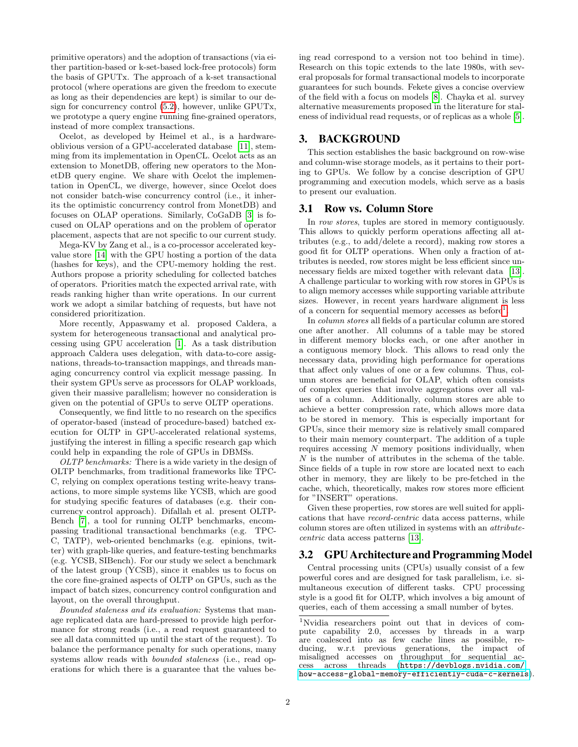primitive operators) and the adoption of transactions (via either partition-based or k-set-based lock-free protocols) form the basis of GPUTx. The approach of a k-set transactional protocol (where operations are given the freedom to execute as long as their dependencies are kept) is similar to our design for concurrency control [\(5.2\)](#page-2-2), however, unlike GPUTx, we prototype a query engine running fine-grained operators, instead of more complex transactions.

Ocelot, as developed by Heimel et al., is a hardwareoblivious version of a GPU-accelerated database [\[11\]](#page-5-1), stemming from its implementation in OpenCL. Ocelot acts as an extension to MonetDB, offering new operators to the MonetDB query engine. We share with Ocelot the implementation in OpenCL, we diverge, however, since Ocelot does not consider batch-wise concurrency control (i.e., it inherits the optimistic concurrency control from MonetDB) and focuses on OLAP operations. Similarly, CoGaDB [\[3\]](#page-5-2) is focused on OLAP operations and on the problem of operator placement, aspects that are not specific to our current study.

Mega-KV by Zang et al., is a co-processor accelerated keyvalue store [\[14\]](#page-5-5) with the GPU hosting a portion of the data (hashes for keys), and the CPU-memory holding the rest. Authors propose a priority scheduling for collected batches of operators. Priorities match the expected arrival rate, with reads ranking higher than write operations. In our current work we adopt a similar batching of requests, but have not considered prioritization.

More recently, Appaswamy et al. proposed Caldera, a system for heterogeneous transactional and analytical processing using GPU acceleration [\[1\]](#page-5-3). As a task distribution approach Caldera uses delegation, with data-to-core assignations, threads-to-transaction mappings, and threads managing concurrency control via explicit message passing. In their system GPUs serve as processors for OLAP workloads, given their massive parallelism; however no consideration is given on the potential of GPUs to serve OLTP operations.

Consequently, we find little to no research on the specifics of operator-based (instead of procedure-based) batched execution for OLTP in GPU-accelerated relational systems, justifying the interest in filling a specific research gap which could help in expanding the role of GPUs in DBMSs.

OLTP benchmarks: There is a wide variety in the design of OLTP benchmarks, from traditional frameworks like TPC-C, relying on complex operations testing write-heavy transactions, to more simple systems like YCSB, which are good for studying specific features of databases (e.g. their concurrency control approach). Difallah et al. present OLTP-Bench [\[7\]](#page-5-6), a tool for running OLTP benchmarks, encompassing traditional transactional benchmarks (e.g. TPC-C, TATP), web-oriented benchmarks (e.g. epinions, twitter) with graph-like queries, and feature-testing benchmarks (e.g. YCSB, SIBench). For our study we select a benchmark of the latest group (YCSB), since it enables us to focus on the core fine-grained aspects of OLTP on GPUs, such as the impact of batch sizes, concurrency control configuration and layout, on the overall throughput.

Bounded staleness and its evaluation: Systems that manage replicated data are hard-pressed to provide high performance for strong reads (i.e., a read request guaranteed to see all data committed up until the start of the request). To balance the performance penalty for such operations, many systems allow reads with bounded staleness (i.e., read operations for which there is a guarantee that the values being read correspond to a version not too behind in time). Research on this topic extends to the late 1980s, with several proposals for formal transactional models to incorporate guarantees for such bounds. Fekete gives a concise overview of the field with a focus on models [\[8\]](#page-5-7). Chayka et al. survey alternative measurements proposed in the literature for staleness of individual read requests, or of replicas as a whole [\[5\]](#page-5-8).

# <span id="page-1-0"></span>3. BACKGROUND

This section establishes the basic background on row-wise and column-wise storage models, as it pertains to their porting to GPUs. We follow by a concise description of GPU programming and execution models, which serve as a basis to present our evaluation.

#### 3.1 Row vs. Column Store

In row stores, tuples are stored in memory contiguously. This allows to quickly perform operations affecting all attributes (e.g., to add/delete a record), making row stores a good fit for OLTP operations. When only a fraction of attributes is needed, row stores might be less efficient since unnecessary fields are mixed together with relevant data [\[13\]](#page-5-9). A challenge particular to working with row stores in GPUs is to align memory accesses while supporting variable attribute sizes. However, in recent years hardware alignment is less of a concern for sequential memory accesses as before<sup>[1](#page-1-1)</sup>.

In column stores all fields of a particular column are stored one after another. All columns of a table may be stored in different memory blocks each, or one after another in a contiguous memory block. This allows to read only the necessary data, providing high performance for operations that affect only values of one or a few columns. Thus, column stores are beneficial for OLAP, which often consists of complex queries that involve aggregations over all values of a column. Additionally, column stores are able to achieve a better compression rate, which allows more data to be stored in memory. This is especially important for GPUs, since their memory size is relatively small compared to their main memory counterpart. The addition of a tuple requires accessing  $N$  memory positions individually, when N is the number of attributes in the schema of the table. Since fields of a tuple in row store are located next to each other in memory, they are likely to be pre-fetched in the cache, which, theoretically, makes row stores more efficient for "INSERT" operations.

Given these properties, row stores are well suited for applications that have record-centric data access patterns, while column stores are often utilized in systems with an attributecentric data access patterns [\[13\]](#page-5-9).

## 3.2 GPU Architecture and Programming Model

Central processing units (CPUs) usually consist of a few powerful cores and are designed for task parallelism, i.e. simultaneous execution of different tasks. CPU processing style is a good fit for OLTP, which involves a big amount of queries, each of them accessing a small number of bytes.

<span id="page-1-1"></span><sup>1</sup>Nvidia researchers point out that in devices of compute capability 2.0, accesses by threads in a warp are coalesced into as few cache lines as possible, reducing, w.r.t previous generations, the impact of misaligned accesses on throughput for sequential access across threads ([https://devblogs.nvidia.com/](https://devblogs.nvidia.com/how-access-global-memory-efficiently-cuda-c-kernels) [how-access-global-memory-efficiently-cuda-c-kernels](https://devblogs.nvidia.com/how-access-global-memory-efficiently-cuda-c-kernels)).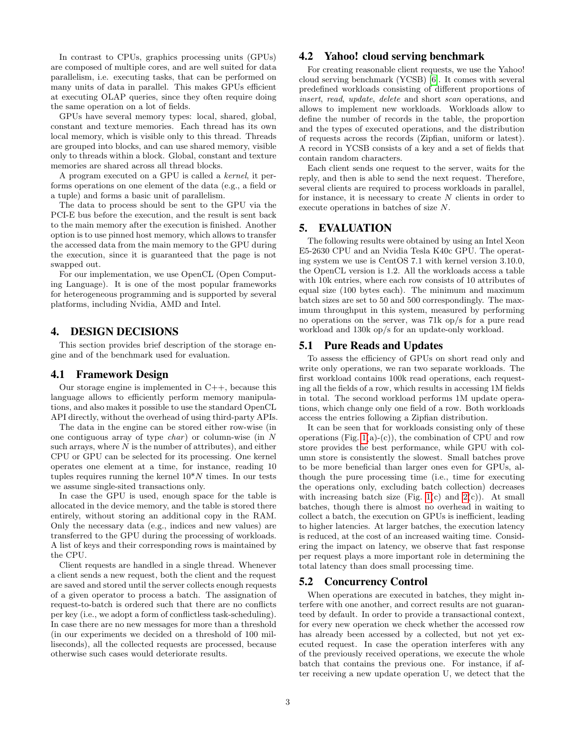In contrast to CPUs, graphics processing units (GPUs) are composed of multiple cores, and are well suited for data parallelism, i.e. executing tasks, that can be performed on many units of data in parallel. This makes GPUs efficient at executing OLAP queries, since they often require doing the same operation on a lot of fields.

GPUs have several memory types: local, shared, global, constant and texture memories. Each thread has its own local memory, which is visible only to this thread. Threads are grouped into blocks, and can use shared memory, visible only to threads within a block. Global, constant and texture memories are shared across all thread blocks.

A program executed on a GPU is called a kernel, it performs operations on one element of the data (e.g., a field or a tuple) and forms a basic unit of parallelism.

The data to process should be sent to the GPU via the PCI-E bus before the execution, and the result is sent back to the main memory after the execution is finished. Another option is to use pinned host memory, which allows to transfer the accessed data from the main memory to the GPU during the execution, since it is guaranteed that the page is not swapped out.

For our implementation, we use OpenCL (Open Computing Language). It is one of the most popular frameworks for heterogeneous programming and is supported by several platforms, including Nvidia, AMD and Intel.

# <span id="page-2-0"></span>4. DESIGN DECISIONS

This section provides brief description of the storage engine and of the benchmark used for evaluation.

#### 4.1 Framework Design

Our storage engine is implemented in  $C++$ , because this language allows to efficiently perform memory manipulations, and also makes it possible to use the standard OpenCL API directly, without the overhead of using third-party APIs.

The data in the engine can be stored either row-wise (in one contiguous array of type  $char$ ) or column-wise (in N such arrays, where  $N$  is the number of attributes), and either CPU or GPU can be selected for its processing. One kernel operates one element at a time, for instance, reading 10 tuples requires running the kernel  $10^*N$  times. In our tests we assume single-sited transactions only.

In case the GPU is used, enough space for the table is allocated in the device memory, and the table is stored there entirely, without storing an additional copy in the RAM. Only the necessary data (e.g., indices and new values) are transferred to the GPU during the processing of workloads. A list of keys and their corresponding rows is maintained by the CPU.

Client requests are handled in a single thread. Whenever a client sends a new request, both the client and the request are saved and stored until the server collects enough requests of a given operator to process a batch. The assignation of request-to-batch is ordered such that there are no conflicts per key (i.e., we adopt a form of conflictless task-scheduling). In case there are no new messages for more than a threshold (in our experiments we decided on a threshold of 100 milliseconds), all the collected requests are processed, because otherwise such cases would deteriorate results.

## 4.2 Yahoo! cloud serving benchmark

For creating reasonable client requests, we use the Yahoo! cloud serving benchmark (YCSB) [\[6\]](#page-5-10). It comes with several predefined workloads consisting of different proportions of insert, read, update, delete and short scan operations, and allows to implement new workloads. Workloads allow to define the number of records in the table, the proportion and the types of executed operations, and the distribution of requests across the records (Zipfian, uniform or latest). A record in YCSB consists of a key and a set of fields that contain random characters.

Each client sends one request to the server, waits for the reply, and then is able to send the next request. Therefore, several clients are required to process workloads in parallel, for instance, it is necessary to create  $N$  clients in order to execute operations in batches of size N.

## <span id="page-2-1"></span>5. EVALUATION

The following results were obtained by using an Intel Xeon E5-2630 CPU and an Nvidia Tesla K40c GPU. The operating system we use is CentOS 7.1 with kernel version 3.10.0, the OpenCL version is 1.2. All the workloads access a table with 10k entries, where each row consists of 10 attributes of equal size (100 bytes each). The minimum and maximum batch sizes are set to 50 and 500 correspondingly. The maximum throughput in this system, measured by performing no operations on the server, was 71k op/s for a pure read workload and 130k op/s for an update-only workload.

#### 5.1 Pure Reads and Updates

To assess the efficiency of GPUs on short read only and write only operations, we ran two separate workloads. The first workload contains 100k read operations, each requesting all the fields of a row, which results in accessing 1M fields in total. The second workload performs 1M update operations, which change only one field of a row. Both workloads access the entries following a Zipfian distribution.

It can be seen that for workloads consisting only of these operations (Fig.  $1(a)-(c)$ ), the combination of CPU and row store provides the best performance, while GPU with column store is consistently the slowest. Small batches prove to be more beneficial than larger ones even for GPUs, although the pure processing time (i.e., time for executing the operations only, excluding batch collection) decreases with increasing batch size (Fig.  $1(c)$  and  $2(c)$ ). At small batches, though there is almost no overhead in waiting to collect a batch, the execution on GPUs is inefficient, leading to higher latencies. At larger batches, the execution latency is reduced, at the cost of an increased waiting time. Considering the impact on latency, we observe that fast response per request plays a more important role in determining the total latency than does small processing time.

#### <span id="page-2-2"></span>5.2 Concurrency Control

When operations are executed in batches, they might interfere with one another, and correct results are not guaranteed by default. In order to provide a transactional context, for every new operation we check whether the accessed row has already been accessed by a collected, but not yet executed request. In case the operation interferes with any of the previously received operations, we execute the whole batch that contains the previous one. For instance, if after receiving a new update operation U, we detect that the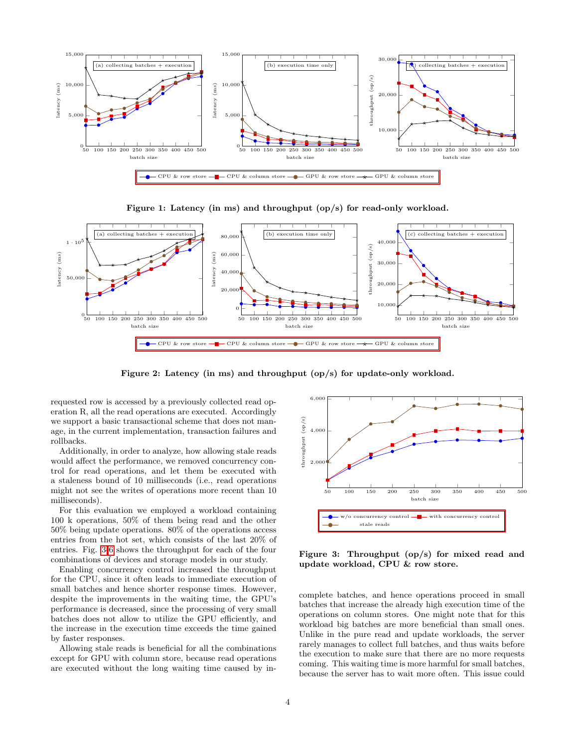

<span id="page-3-0"></span>Figure 1: Latency (in ms) and throughput (op/s) for read-only workload.



<span id="page-3-1"></span>Figure 2: Latency (in ms) and throughput (op/s) for update-only workload.

requested row is accessed by a previously collected read operation R, all the read operations are executed. Accordingly we support a basic transactional scheme that does not manage, in the current implementation, transaction failures and rollbacks.

Additionally, in order to analyze, how allowing stale reads would affect the performance, we removed concurrency control for read operations, and let them be executed with a staleness bound of 10 milliseconds (i.e., read operations might not see the writes of operations more recent than 10 milliseconds).

For this evaluation we employed a workload containing 100 k operations, 50% of them being read and the other 50% being update operations. 80% of the operations access entries from the hot set, which consists of the last 20% of entries. Fig. [3](#page-3-3)[-6](#page-4-1) shows the throughput for each of the four combinations of devices and storage models in our study.

Enabling concurrency control increased the throughput for the CPU, since it often leads to immediate execution of small batches and hence shorter response times. However, despite the improvements in the waiting time, the GPU's performance is decreased, since the processing of very small batches does not allow to utilize the GPU efficiently, and the increase in the execution time exceeds the time gained by faster responses.

Allowing stale reads is beneficial for all the combinations except for GPU with column store, because read operations are executed without the long waiting time caused by in-

<span id="page-3-2"></span>

<span id="page-3-3"></span>Figure 3: Throughput (op/s) for mixed read and update workload, CPU & row store.

complete batches, and hence operations proceed in small batches that increase the already high execution time of the operations on column stores. One might note that for this workload big batches are more beneficial than small ones. Unlike in the pure read and update workloads, the server rarely manages to collect full batches, and thus waits before the execution to make sure that there are no more requests coming. This waiting time is more harmful for small batches, because the server has to wait more often. This issue could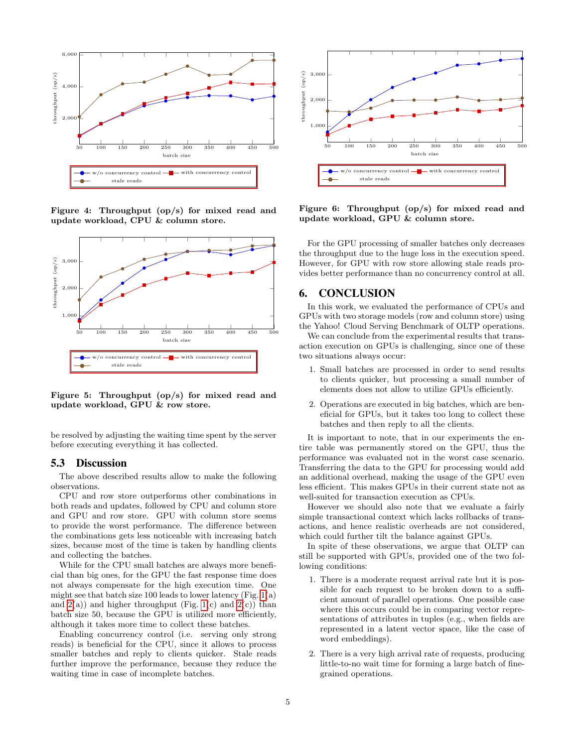

Figure 4: Throughput (op/s) for mixed read and update workload, CPU & column store.



Figure 5: Throughput (op/s) for mixed read and update workload, GPU & row store.

be resolved by adjusting the waiting time spent by the server before executing everything it has collected.

#### 5.3 Discussion

The above described results allow to make the following observations.

CPU and row store outperforms other combinations in both reads and updates, followed by CPU and column store and GPU and row store. GPU with column store seems to provide the worst performance. The difference between the combinations gets less noticeable with increasing batch sizes, because most of the time is taken by handling clients and collecting the batches.

While for the CPU small batches are always more beneficial than big ones, for the GPU the fast response time does not always compensate for the high execution time. One might see that batch size 100 leads to lower latency (Fig.  $1(a)$ ) and  $2(a)$  and higher throughput (Fig. [1\(](#page-3-0)c) and  $2(c)$ ) than batch size 50, because the GPU is utilized more efficiently, although it takes more time to collect these batches.

Enabling concurrency control (i.e. serving only strong reads) is beneficial for the CPU, since it allows to process smaller batches and reply to clients quicker. Stale reads further improve the performance, because they reduce the waiting time in case of incomplete batches.



<span id="page-4-1"></span><span id="page-4-0"></span>Figure 6: Throughput (op/s) for mixed read and update workload, GPU & column store.

For the GPU processing of smaller batches only decreases the throughput due to the huge loss in the execution speed. However, for GPU with row store allowing stale reads provides better performance than no concurrency control at all.

## 6. CONCLUSION

In this work, we evaluated the performance of CPUs and GPUs with two storage models (row and column store) using the Yahoo! Cloud Serving Benchmark of OLTP operations.

We can conclude from the experimental results that transaction execution on GPUs is challenging, since one of these two situations always occur:

- 1. Small batches are processed in order to send results to clients quicker, but processing a small number of elements does not allow to utilize GPUs efficiently.
- 2. Operations are executed in big batches, which are beneficial for GPUs, but it takes too long to collect these batches and then reply to all the clients.

It is important to note, that in our experiments the entire table was permanently stored on the GPU, thus the performance was evaluated not in the worst case scenario. Transferring the data to the GPU for processing would add an additional overhead, making the usage of the GPU even less efficient. This makes GPUs in their current state not as well-suited for transaction execution as CPUs.

However we should also note that we evaluate a fairly simple transactional context which lacks rollbacks of transactions, and hence realistic overheads are not considered, which could further tilt the balance against GPUs.

In spite of these observations, we argue that OLTP can still be supported with GPUs, provided one of the two following conditions:

- 1. There is a moderate request arrival rate but it is possible for each request to be broken down to a sufficient amount of parallel operations. One possible case where this occurs could be in comparing vector representations of attributes in tuples (e.g., when fields are represented in a latent vector space, like the case of word embeddings).
- 2. There is a very high arrival rate of requests, producing little-to-no wait time for forming a large batch of finegrained operations.